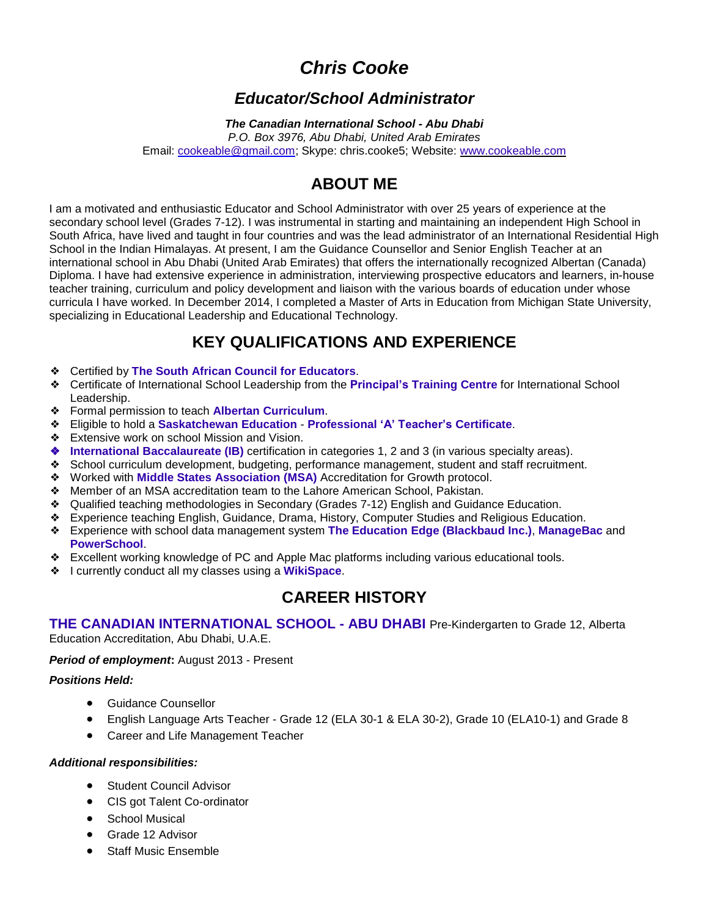# *Chris Cooke*

### *Educator/School Administrator*

#### *The Canadian International School - Abu Dhabi*

*P.O. Box 3976, Abu Dhabi, United Arab Emirates* Email: [cookeable@gmail.com;](mailto:cookeable@gmail.com) Skype: chris.cooke5; Website: [www.cookeable.com](http://www.cookeable.com/)

## **ABOUT ME**

I am a motivated and enthusiastic Educator and School Administrator with over 25 years of experience at the secondary school level (Grades 7-12). I was instrumental in starting and maintaining an independent High School in South Africa, have lived and taught in four countries and was the lead administrator of an International Residential High School in the Indian Himalayas. At present, I am the Guidance Counsellor and Senior English Teacher at an international school in Abu Dhabi (United Arab Emirates) that offers the internationally recognized Albertan (Canada) Diploma. I have had extensive experience in administration, interviewing prospective educators and learners, in-house teacher training, curriculum and policy development and liaison with the various boards of education under whose curricula I have worked. In December 2014, I completed a Master of Arts in Education from Michigan State University, specializing in Educational Leadership and Educational Technology.

## **KEY QUALIFICATIONS AND EXPERIENCE**

- ❖ Certified by **The South African Council for [Educators](http://www.sace.org.za/)**.
- ❖ Certificate of International School Leadership from the **[Principal's](http://www.theptc.org/) Training Centre** for International School Leadership.
- ❖ Formal permission to teach **Albertan [Curriculum](http://education.alberta.ca/)**.
- ❖ Eligible to hold a **[Saskatchewan](http://www.education.gov.sk.ca/) Education [Professional](http://www.education.gov.sk.ca/teacher/teacher-classification-guide) 'A' Teacher's Certificate**.
- ❖ Extensive work on school Mission and Vision.
- ❖ **International [Baccalaureate](http://www.ibo.org/) (IB)** certification in categories 1, 2 and 3 (in various specialty areas).
- ❖ School curriculum development, budgeting, performance management, student and staff recruitment.
- ❖ Worked with **Middle States [Association](http://www.middlestates.org/) (MSA)** Accreditation for Growth protocol.
- ❖ Member of an MSA accreditation team to the Lahore American School, Pakistan.
- ❖ Qualified teaching methodologies in Secondary (Grades 7-12) English and Guidance Education.
- ❖ Experience teaching English, Guidance, Drama, History, Computer Studies and Religious Education.
- ❖ Experience with school data management system **The Education Edge [\(Blackbaud](https://www.blackbaud.com/k-12/education-edge-school-management) Inc.)**, **[ManageBac](http://managebac.com/)** and **[PowerSchool](http://www.pearsonschoolsystems.com/)**.
- ❖ Excellent working knowledge of PC and Apple Mac platforms including various educational tools.
- ❖ I currently conduct all my classes using a **[WikiSpace](http://www.wikispaces.com/)**.

### **CAREER HISTORY**

#### **THE CANADIAN [INTERNATIONAL](http://www.cisabudhabi.com/) SCHOOL - ABU DHABI** Pre-Kindergarten to Grade 12, Alberta Education Accreditation, Abu Dhabi, U.A.E.

#### *Period of employment***:** August 2013 - Present

#### *Positions Held:*

- **•** Guidance Counsellor
- English Language Arts Teacher Grade 12 (ELA 30-1 & ELA 30-2), Grade 10 (ELA10-1) and Grade 8
- Career and Life Management Teacher

#### *Additional responsibilities:*

- **Student Council Advisor**
- CIS got Talent Co-ordinator
- School Musical
- Grade 12 Advisor
- Staff Music Ensemble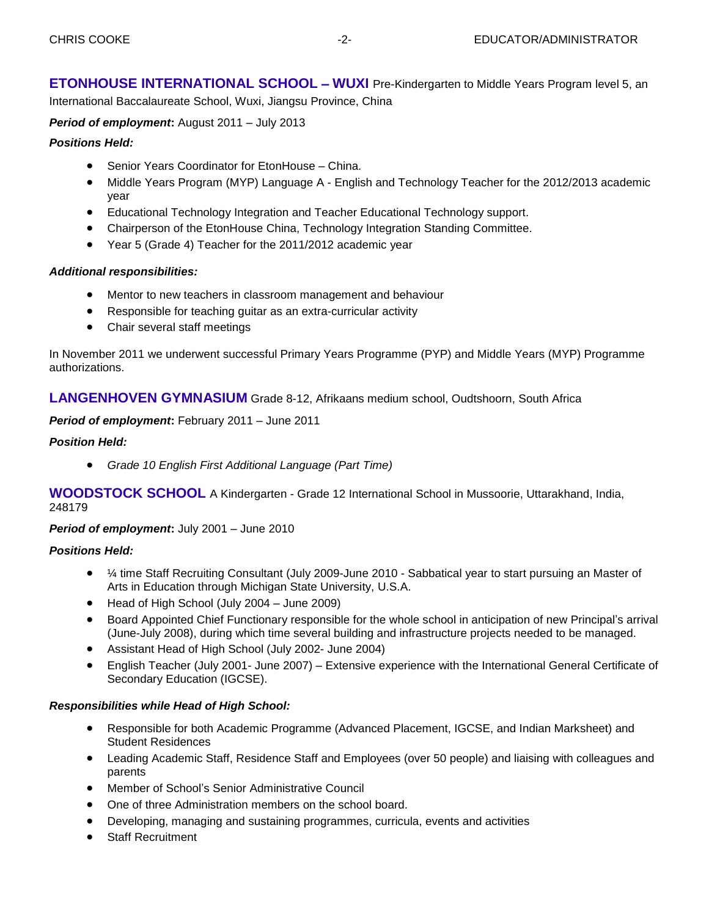**ETONHOUSE [INTERNATIONAL](http://wuxi.etonhouse.com.cn/) SCHOOL** – **WUXI** Pre-Kindergarten to Middle Years Program level 5, an International Baccalaureate School, Wuxi, Jiangsu Province, China

*Period of employment***:** August 2011 – July 2013

#### *Positions Held:*

- Senior Years Coordinator for EtonHouse China.
- Middle Years Program (MYP) Language A English and Technology Teacher for the 2012/2013 academic year
- Educational Technology Integration and Teacher Educational Technology support.
- Chairperson of the EtonHouse China, Technology Integration Standing Committee.
- Year 5 (Grade 4) Teacher for the 2011/2012 academic year

#### *Additional responsibilities:*

- Mentor to new teachers in classroom management and behaviour
- Responsible for teaching guitar as an extra-curricular activity
- Chair several staff meetings

In November 2011 we underwent successful Primary Years Programme (PYP) and Middle Years (MYP) Programme authorizations.

**[LANGENHOVEN](http://www.langenhovengim.co.za/index.php?p=1) GYMNASIUM** Grade 8-12, Afrikaans medium school, Oudtshoorn, South Africa

*Period of employment***:** February 2011 – June 2011

#### *Position Held:*

*Grade 10 English First Additional Language (Part Time)*

**[WOODSTOCK](http://www.woodstockschool.in/) SCHOOL** A Kindergarten - Grade 12 International School in Mussoorie, Uttarakhand, India, 248179

*Period of employment***:** July 2001 – June 2010

#### *Positions Held:*

- ¼ time Staff Recruiting Consultant (July 2009-June 2010 Sabbatical year to start pursuing an Master of Arts in Education through Michigan State University, U.S.A.
- Head of High School (July 2004 June 2009)
- Board Appointed Chief Functionary responsible for the whole school in anticipation of new Principal's arrival (June-July 2008), during which time several building and infrastructure projects needed to be managed.
- Assistant Head of High School (July 2002- June 2004)
- English Teacher (July 2001- June 2007) Extensive experience with the International General Certificate of Secondary Education (IGCSE).

#### *Responsibilities while Head of High School:*

- Responsible for both Academic Programme (Advanced Placement, IGCSE, and Indian Marksheet) and Student Residences
- Leading Academic Staff, Residence Staff and Employees (over 50 people) and liaising with colleagues and parents
- Member of School's Senior Administrative Council
- One of three Administration members on the school board.
- Developing, managing and sustaining programmes, curricula, events and activities
- Staff Recruitment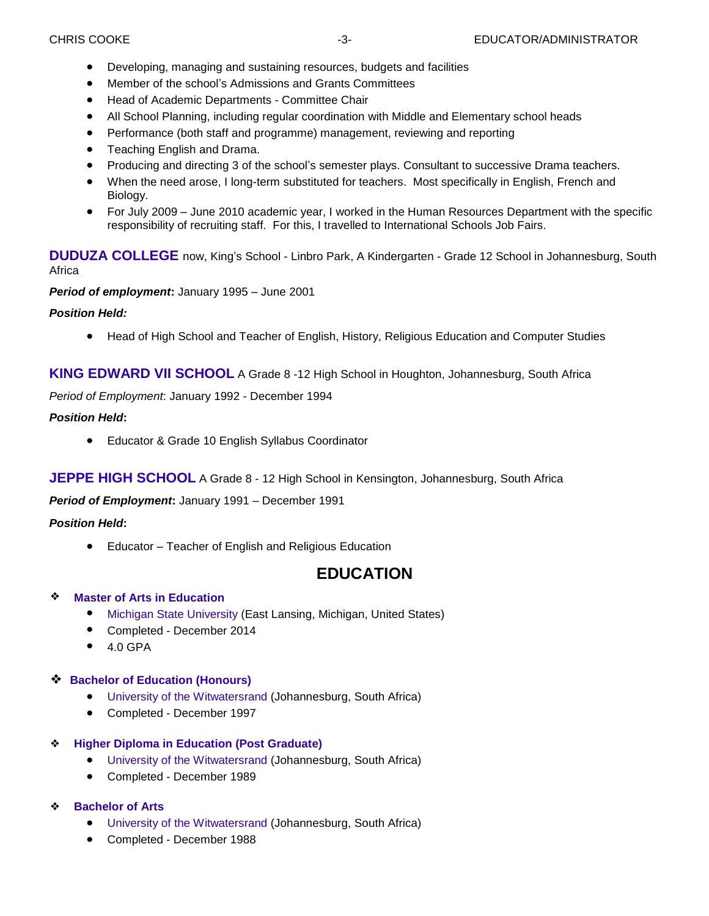- Developing, managing and sustaining resources, budgets and facilities
- Member of the school's Admissions and Grants Committees
- Head of Academic Departments Committee Chair
- All School Planning, including regular coordination with Middle and Elementary school heads
- Performance (both staff and programme) management, reviewing and reporting
- Teaching English and Drama.
- Producing and directing 3 of the school's semester plays. Consultant to successive Drama teachers.
- When the need arose, I long-term substituted for teachers. Most specifically in English, French and Biology.
- For July 2009 June 2010 academic year, I worked in the Human Resources Department with the specific responsibility of recruiting staff. For this, I travelled to International Schools Job Fairs.

**DUDUZA [COLLEGE](http://www.kslp.org.za/)** now, King's School - Linbro Park, A Kindergarten - Grade 12 School in Johannesburg, South Africa

*Period of employment***:** January 1995 – June 2001

#### *Position Held:*

Head of High School and Teacher of English, History, Religious Education and Computer Studies

**KING [EDWARD](http://www.kingedwardschool.co.za/Home/Home) VII SCHOOL** A Grade 8 -12 High School in Houghton, Johannesburg, South Africa

*Period of Employment*: January 1992 - December 1994

#### *Position Held***:**

Educator & Grade 10 English Syllabus Coordinator

**JEPPE HIGH [SCHOOL](http://www.jeppeboys.co.za/)** A Grade 8 - 12 High School in Kensington, Johannesburg, South Africa

*Period of Employment***:** January 1991 – December 1991

#### *Position Held***:**

Educator – Teacher of English and Religious Education

## **EDUCATION**

#### ❖ **Master of Arts in [Education](http://education.msu.edu/maed/)**

- Michigan State [University](http://www.apple.com/) (East Lansing, Michigan, United States)
- Completed December 2014
- $\bullet$  4.0 GPA

#### ❖ **Bachelor of [Education](http://www.wits.ac.za/academic/humanities/education/postgraduate%20degrees/bedhonours/19473/programme.html) (Honours)**

- University of the [Witwatersrand](http://www.wits.ac.za/) (Johannesburg, South Africa)
- Completed December 1997

#### ❖ **Higher Diploma in [Education](http://www.wits.ac.za/education/7770/wsoe.html) (Post Graduate)**

- University of the [Witwatersrand](http://www.wits.ac.za/) (Johannesburg, South Africa)
- Completed December 1989

#### ❖ **[Bachelor](http://www.wits.ac.za/prospective/undergraduate/what_can_i_study_at_wits/academicprogrammes/humanities/11669/generalba.html) of Arts**

- University of the [Witwatersrand](http://www.wits.ac.za/) (Johannesburg, South Africa)
- Completed December 1988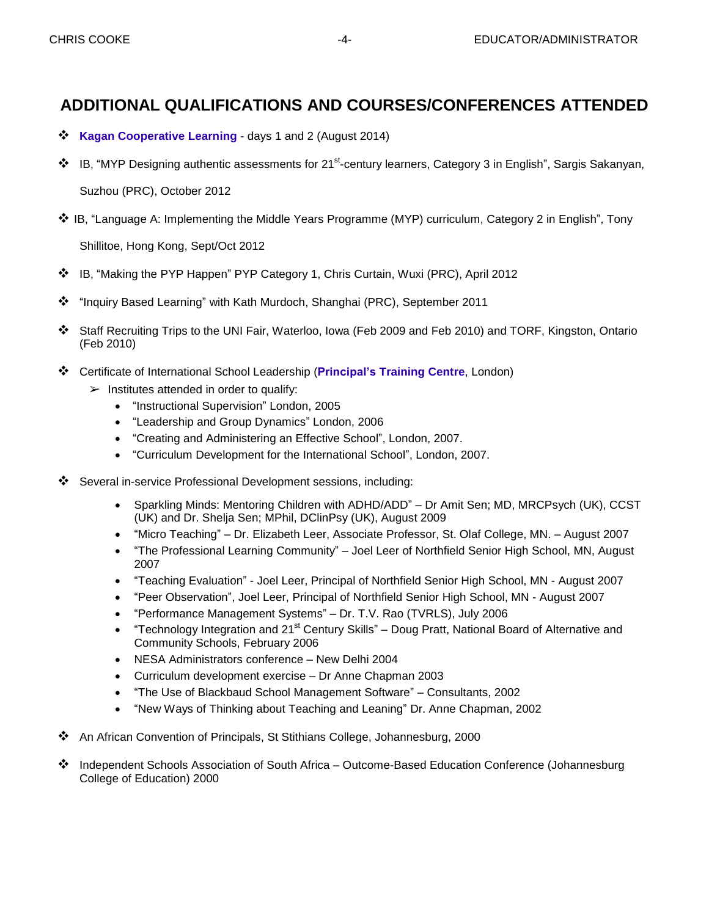### **ADDITIONAL QUALIFICATIONS AND COURSES/CONFERENCES ATTENDED**

- **Kagan [Cooperative](http://www.kaganonline.com/workshops/) Learning** days 1 and 2 (August 2014)
- ❖ IB, "MYP Designing authentic assessments for 21<sup>st</sup>-century learners, Category 3 in English", Sargis Sakanyan,

Suzhou (PRC), October 2012

IB, "Language A: Implementing the Middle Years Programme (MYP) curriculum, Category 2 in English", Tony

Shillitoe, Hong Kong, Sept/Oct 2012

- IB, "Making the PYP Happen" PYP Category 1, Chris Curtain, Wuxi (PRC), April 2012
- "Inquiry Based Learning" with Kath Murdoch, Shanghai (PRC), September 2011
- Staff Recruiting Trips to the UNI Fair, Waterloo, Iowa (Feb 2009 and Feb 2010) and TORF, Kingston, Ontario (Feb 2010)
- Certificate of International School Leadership (**[Principal's](http://www.theptc.org/) Training Centre**, London)
	- $\triangleright$  Institutes attended in order to qualify:
		- "Instructional Supervision" London, 2005
		- "Leadership and Group Dynamics" London, 2006
		- "Creating and Administering an Effective School", London, 2007.
		- "Curriculum Development for the International School", London, 2007.
- Several in-service Professional Development sessions, including:
	- Sparkling Minds: Mentoring Children with ADHD/ADD" Dr Amit Sen; MD, MRCPsych (UK), CCST (UK) and Dr. Shelja Sen; MPhil, DClinPsy (UK), August 2009
	- "Micro Teaching" Dr. Elizabeth Leer, Associate Professor, St. Olaf College, MN. August 2007
	- "The Professional Learning Community" Joel Leer of Northfield Senior High School, MN, August 2007
	- "Teaching Evaluation" Joel Leer, Principal of Northfield Senior High School, MN August 2007
	- "Peer Observation", Joel Leer, Principal of Northfield Senior High School, MN August 2007
	- "Performance Management Systems" Dr. T.V. Rao (TVRLS), July 2006
	- "Technology Integration and 21<sup>st</sup> Century Skills" Doug Pratt, National Board of Alternative and Community Schools, February 2006
	- NESA Administrators conference New Delhi 2004
	- Curriculum development exercise Dr Anne Chapman 2003
	- "The Use of Blackbaud School Management Software" Consultants, 2002
	- "New Ways of Thinking about Teaching and Leaning" Dr. Anne Chapman, 2002
- An African Convention of Principals, St Stithians College, Johannesburg, 2000
- Independent Schools Association of South Africa Outcome-Based Education Conference (Johannesburg College of Education) 2000